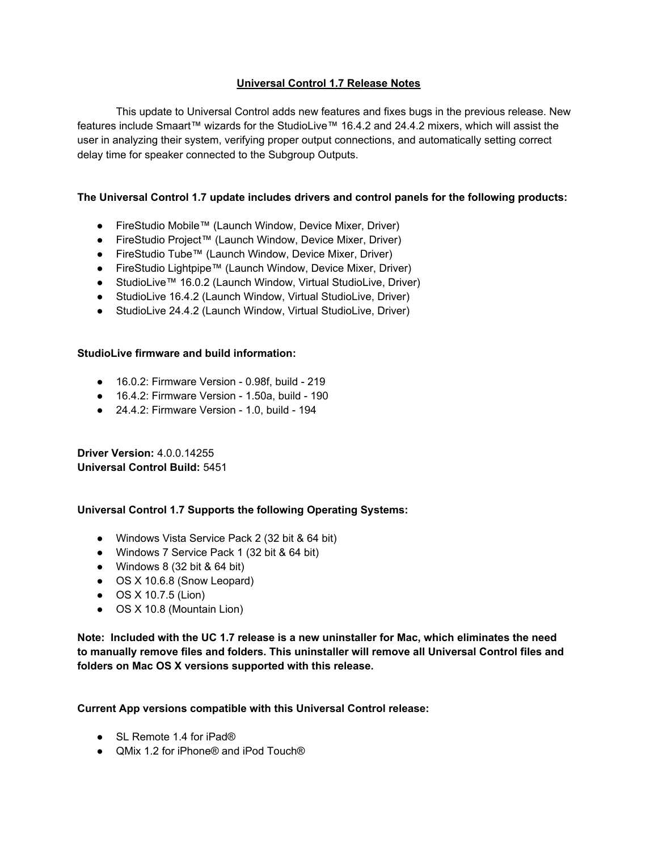# **Universal Control 1.7 Release Notes**

This update to Universal Control adds new features and fixes bugs in the previous release. New features include Smaart™ wizards for the StudioLive™ 16.4.2 and 24.4.2 mixers, which will assist the user in analyzing their system, verifying proper output connections, and automatically setting correct delay time for speaker connected to the Subgroup Outputs.

#### **The Universal Control 1.7 update includes drivers and control panels for the following products:**

- FireStudio Mobile™ (Launch Window, Device Mixer, Driver)
- FireStudio Project™ (Launch Window, Device Mixer, Driver)
- FireStudio Tube™ (Launch Window, Device Mixer, Driver)
- FireStudio Lightpipe™ (Launch Window, Device Mixer, Driver)
- StudioLive™ 16.0.2 (Launch Window, Virtual StudioLive, Driver)
- StudioLive 16.4.2 (Launch Window, Virtual StudioLive, Driver)
- StudioLive 24.4.2 (Launch Window, Virtual StudioLive, Driver)

#### **StudioLive firmware and build information:**

- 16.0.2: Firmware Version 0.98f, build 219
- 16.4.2: Firmware Version 1.50a, build 190
- 24.4.2: Firmware Version 1.0, build 194

**Driver Version:** 4.0.0.14255 **Universal Control Build:** 5451

## **Universal Control 1.7 Supports the following Operating Systems:**

- Windows Vista Service Pack 2 (32 bit & 64 bit)
- Windows 7 Service Pack 1 (32 bit & 64 bit)
- Windows 8 (32 bit & 64 bit)
- OS X 10.6.8 (Snow Leopard)
- OS X 10.7.5 (Lion)
- OS X 10.8 (Mountain Lion)

**Note: Included with the UC 1.7 release is a new uninstaller for Mac, which eliminates the need to manually remove files and folders. This uninstaller will remove all Universal Control files and folders on Mac OS X versions supported with this release.**

## **Current App versions compatible with this Universal Control release:**

- SL Remote 1.4 for iPad®
- QMix 1.2 for iPhone<sup>®</sup> and iPod Touch<sup>®</sup>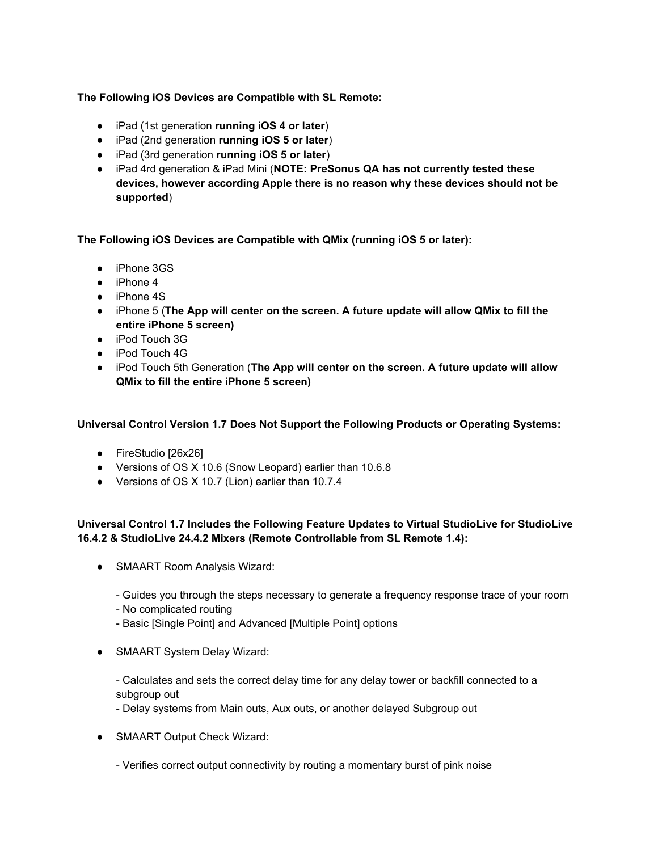## **The Following iOS Devices are Compatible with SL Remote:**

- iPad (1st generation **running iOS 4 or later**)
- iPad (2nd generation **running iOS 5 or later**)
- iPad (3rd generation **running iOS 5 or later**)
- iPad 4rd generation & iPad Mini (**NOTE: PreSonus QA has not currently tested these devices, however according Apple there is no reason why these devices should not be supported**)

**The Following iOS Devices are Compatible with QMix (running iOS 5 or later):**

- iPhone 3GS
- $\bullet$  iPhone 4
- iPhone 4S
- iPhone 5 (**The App will center on the screen. A future update will allow QMix to fill the entire iPhone 5 screen)**
- iPod Touch 3G
- iPod Touch 4G
- iPod Touch 5th Generation (**The App will center on the screen. A future update will allow QMix to fill the entire iPhone 5 screen)**

**Universal Control Version 1.7 Does Not Support the Following Products or Operating Systems:**

- FireStudio [26x26]
- Versions of OS X 10.6 (Snow Leopard) earlier than 10.6.8
- Versions of OS X 10.7 (Lion) earlier than 10.7.4

# **Universal Control 1.7 Includes the Following Feature Updates to Virtual StudioLive for StudioLive 16.4.2 & StudioLive 24.4.2 Mixers (Remote Controllable from SL Remote 1.4):**

- SMAART Room Analysis Wizard:
	- Guides you through the steps necessary to generate a frequency response trace of your room
	- No complicated routing
	- Basic [Single Point] and Advanced [Multiple Point] options
- SMAART System Delay Wizard:

- Calculates and sets the correct delay time for any delay tower or backfill connected to a subgroup out

- Delay systems from Main outs, Aux outs, or another delayed Subgroup out
- SMAART Output Check Wizard:
	- Verifies correct output connectivity by routing a momentary burst of pink noise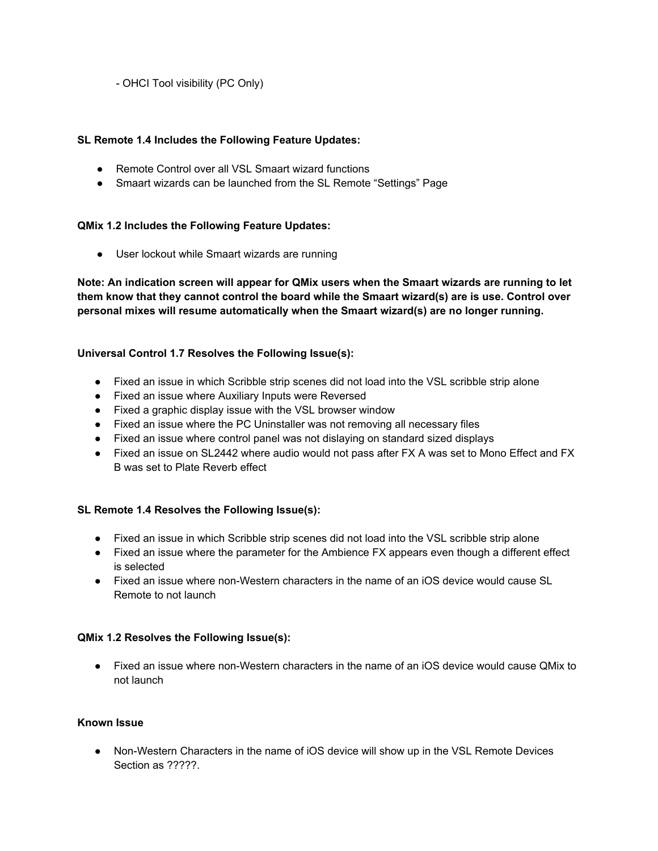- OHCI Tool visibility (PC Only)

## **SL Remote 1.4 Includes the Following Feature Updates:**

- **●** Remote Control over all VSL Smaart wizard functions
- **●** Smaart wizards can be launched from the SL Remote "Settings" Page

#### **QMix 1.2 Includes the Following Feature Updates:**

● User lockout while Smaart wizards are running

**Note: An indication screen will appear for QMix users when the Smaart wizards are running to let them know that they cannot control the board while the Smaart wizard(s) are is use. Control over personal mixes will resume automatically when the Smaart wizard(s) are no longer running.**

#### **Universal Control 1.7 Resolves the Following Issue(s):**

- Fixed an issue in which Scribble strip scenes did not load into the VSL scribble strip alone
- Fixed an issue where Auxiliary Inputs were Reversed
- Fixed a graphic display issue with the VSL browser window
- Fixed an issue where the PC Uninstaller was not removing all necessary files
- Fixed an issue where control panel was not dislaying on standard sized displays
- Fixed an issue on SL2442 where audio would not pass after FX A was set to Mono Effect and FX B was set to Plate Reverb effect

## **SL Remote 1.4 Resolves the Following Issue(s):**

- Fixed an issue in which Scribble strip scenes did not load into the VSL scribble strip alone
- Fixed an issue where the parameter for the Ambience FX appears even though a different effect is selected
- Fixed an issue where non-Western characters in the name of an iOS device would cause SL Remote to not launch

#### **QMix 1.2 Resolves the Following Issue(s):**

● Fixed an issue where non-Western characters in the name of an iOS device would cause QMix to not launch

#### **Known Issue**

• Non-Western Characters in the name of iOS device will show up in the VSL Remote Devices Section as ?????.